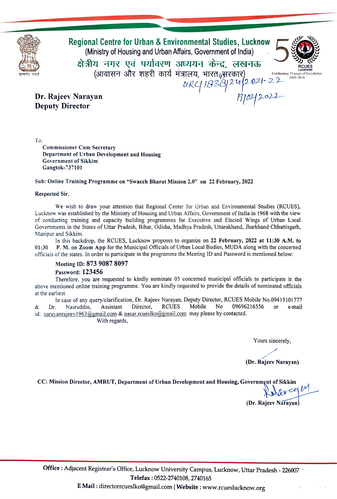

Regional Centre for Urban & Environmental Studies, Lucknow<br>(Ministry of Housing and Urban Affairs, Government of India)<br>क्षेत्रीय नगर एवं पर्यावरण अध्ययन केन्द्र, लखनऊ

 $\frac{1184}{1821}$  1968-2018



Dr. Rajeev Narayan 1022022 Deputy Director

To.

Commissioner Cum Secretary Department of Urban Development and Housing Government of Sikkim Gangtok-737101

### Sub: Online Training Programme on "Swacch Bharat Mission 2.0" on 22 February, 2022

### Respected Sir,

We wish to draw your attention that Regional Center for Urban and Environmental Studies (RCUES), Lucknow was established by the Ministry of Housing and Urban Affairs, Government of India in 1968 with the view of conducting training and capacity building programmes for Executive and Elected Wings of Urban Local Governments in the States of Uttar Pradesh, Bihar, Odisha, Madhya Pradesh, Uttarakhand, Jharkhand Chhattisgarh, Manipur and Sikkim.

In this backdrop, the RCUES, Lucknow proposes to organize on 22 February, 2022 at 11:30 A.M. 01:30 P. M. on Zoom App for the Municipal Officials of Urban Local Bodies, MUDA along with the concerned officials of the states. In order to participate in the programme the Meeting ID and Password is mentioned below:

### Meeting ID: 873 9087 8097

### Password: 123456

Therefore, you are requested to kindly nominate 05 concerned municipal officials to participate in the above mentioned online training programme. You are kindly requested to provide the details of nominated officials at the earliest.

In case of any query/clarification, Dr. Rajeev Narayan, Deputy Director, RCUES Mobile No.09415101777 Nasruddin, Assistant Director, RCUES Mobile id: narayanrajeev1963@gmail.com & nasar.rcueslko@gmail.com may please by contacted. & Dr. No 09696216556 or e-mail With regards,

Yours sincerely,

(Dr. Rajeev Narayan)

CC: Mission Director, AMRUT, Department of Urban Development and Housing, Government of Sikkim<br>  $\bigvee_{\Lambda} \bigwedge_{\Lambda} \subset e_{\{} \Lambda}$ 

(Dr. Rajeev Nárayan)

Office : Adjacent Registrar's Office, Lucknow University Campus, Lucknow, Uttar Pradesh - 226007 · Telefax: 0522-2740108, 2740165

E Mail: directorrcueslko@gmail.com | Website: www.rcueslucknow.org